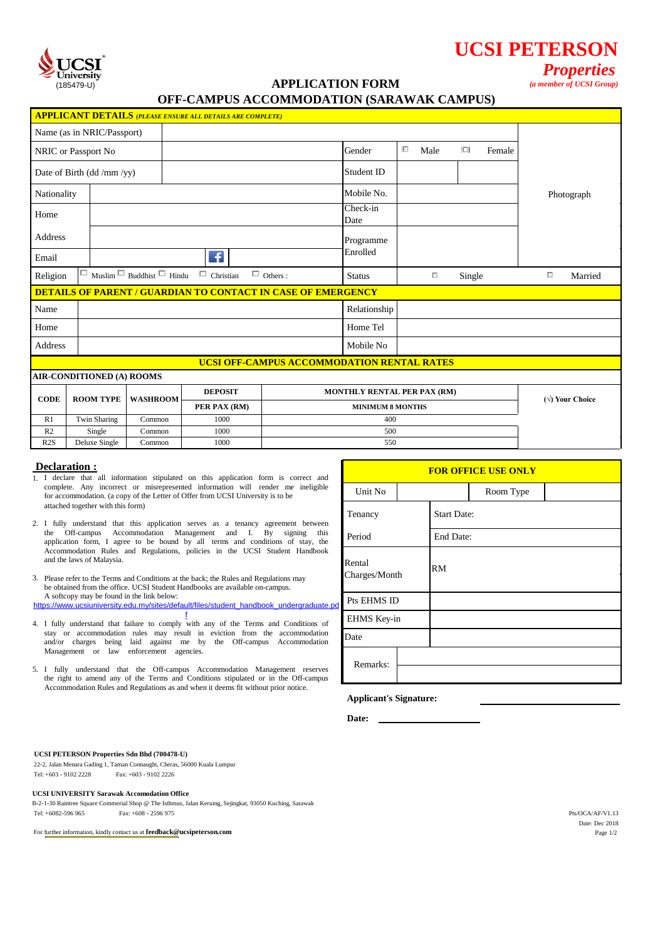

# **UCSI PETERSON**

# (185479-U) *(a member of UCSI Group)* **APPLICATION FORM**

*Properties*

# **OFF-CAMPUS ACCOMMODATION (SARAWAK CAMPUS)**

|                            |                                                                                      |                 | <b>APPLICANT DETAILS (PLEASE ENSURE ALL DETAILS ARE COMPLETE)</b>   |                                            |                                    |        |      |                         |        |        |            |  |
|----------------------------|--------------------------------------------------------------------------------------|-----------------|---------------------------------------------------------------------|--------------------------------------------|------------------------------------|--------|------|-------------------------|--------|--------|------------|--|
| Name (as in NRIC/Passport) |                                                                                      |                 |                                                                     |                                            |                                    |        |      |                         |        |        |            |  |
| NRIC or Passport No        |                                                                                      |                 |                                                                     |                                            | Gender                             | $\Box$ | Male | $\Box$                  | Female |        |            |  |
| Date of Birth (dd /mm /yy) |                                                                                      |                 |                                                                     |                                            | Student ID                         |        |      |                         |        |        |            |  |
| Nationality                |                                                                                      |                 |                                                                     |                                            | Mobile No.                         |        |      |                         |        |        | Photograph |  |
| Home                       |                                                                                      |                 |                                                                     |                                            | Check-in<br>Date                   |        |      |                         |        |        |            |  |
|                            | Address                                                                              |                 |                                                                     |                                            | Programme                          |        |      |                         |        |        |            |  |
| Email                      |                                                                                      |                 | <b>F</b>                                                            |                                            | Enrolled                           |        |      |                         |        |        |            |  |
| Religion                   | $\Box$<br>$\Box$ Christian<br>$\Box$ Others :<br>Muslim $\Box$ Buddhist $\Box$ Hindu |                 |                                                                     |                                            | <b>Status</b>                      |        | о    | Single                  |        | $\Box$ | Married    |  |
|                            |                                                                                      |                 | <b>DETAILS OF PARENT / GUARDIAN TO CONTACT IN CASE OF EMERGENCY</b> |                                            |                                    |        |      |                         |        |        |            |  |
| Name                       |                                                                                      |                 |                                                                     |                                            | Relationship                       |        |      |                         |        |        |            |  |
| Home                       |                                                                                      |                 |                                                                     |                                            | Home Tel                           |        |      |                         |        |        |            |  |
| Address                    |                                                                                      |                 |                                                                     |                                            | Mobile No                          |        |      |                         |        |        |            |  |
|                            |                                                                                      |                 |                                                                     | UCSI OFF-CAMPUS ACCOMMODATION RENTAL RATES |                                    |        |      |                         |        |        |            |  |
|                            | AIR-CONDITIONED (A) ROOMS                                                            |                 |                                                                     |                                            |                                    |        |      |                         |        |        |            |  |
| <b>CODE</b>                | <b>ROOM TYPE</b>                                                                     | <b>WASHROOM</b> | <b>DEPOSIT</b>                                                      |                                            | <b>MONTHLY RENTAL PER PAX (RM)</b> |        |      | $(\forall)$ Your Choice |        |        |            |  |
|                            |                                                                                      |                 | PER PAX (RM)                                                        | <b>MINIMUM 8 MONTHS</b>                    |                                    |        |      |                         |        |        |            |  |

|--|

R<sub>2</sub> Single Common

R1 Twin Sharing Common 1000

1000

| 3. Please refer to the Terms and Conditions at the back; the Rules and Regulations may<br>be obtained from the office. UCSI Student Handbooks are available on-campus. | Charges/Month |
|------------------------------------------------------------------------------------------------------------------------------------------------------------------------|---------------|
| A softcopy may be found in the link below:<br>https://www.ucsiuniversity.edu.my/sites/default/files/student_handbook_undergraduate.pd Pts EHMS ID                      |               |

- 4. I fully understand that failure to comply with any of the Terms and Conditions of EHMS Key-in stay or accommodation rules may result in eviction from the accommodation and/or charges being laid against me by the Off-campus Accommodation Management or law enforcement agencies. f
- 5. Remarks: I fully understand that the Off-campus Accommodation Management reserves Accommodation Rules and Regulations as and when it deems fit without prior notice. the right to amend any of the Terms and Conditions stipulated or in the Off-campus

| Declaration :<br>1. I declare that all information stipulated on this application form is correct and                                                                                                                                                                                                                                                                                                                      | <b>FOR OFFICE USE ONLY</b> |                    |  |  |
|----------------------------------------------------------------------------------------------------------------------------------------------------------------------------------------------------------------------------------------------------------------------------------------------------------------------------------------------------------------------------------------------------------------------------|----------------------------|--------------------|--|--|
| complete. Any incorrect or misrepresented information will render me ineligible<br>for accommodation. (a copy of the Letter of Offer from UCSI University is to be                                                                                                                                                                                                                                                         | Unit No                    | Room Type          |  |  |
| attached together with this form)<br>2. I fully understand that this application serves as a tenancy agreement between                                                                                                                                                                                                                                                                                                     | Tenancy                    | <b>Start Date:</b> |  |  |
| the Off-campus Accommodation Management and I. By signing this<br>application form, I agree to be bound by all terms and conditions of stay, the                                                                                                                                                                                                                                                                           | Period                     | End Date:          |  |  |
| Accommodation Rules and Regulations, policies in the UCSI Student Handbook<br>and the laws of Malaysia.<br>3. Please refer to the Terms and Conditions at the back; the Rules and Regulations may<br>be obtained from the office. UCSI Student Handbooks are available on-campus.<br>A softcopy may be found in the link below:<br>https://www.ucsiuniversity.edu.my/sites/default/files/student_handbook_undergraduate.pd | Rental<br>Charges/Month    | RM                 |  |  |
|                                                                                                                                                                                                                                                                                                                                                                                                                            | Pts EHMS ID                |                    |  |  |
| 4. I fully understand that failure to comply with any of the Terms and Conditions of                                                                                                                                                                                                                                                                                                                                       | EHMS Key-in                |                    |  |  |
| stay or accommodation rules may result in eviction from the accommodation<br>and/or charges being laid against me by the Off-campus Accommodation                                                                                                                                                                                                                                                                          | Date                       |                    |  |  |
| Management or law enforcement agencies.                                                                                                                                                                                                                                                                                                                                                                                    | Remarks:                   |                    |  |  |
| 5. I fully understand that the Off-campus Accommodation Management reserves<br>the right to amend any of the Terms and Conditions stipulated or in the Off-campus                                                                                                                                                                                                                                                          |                            |                    |  |  |

 **Applicant's Signature:**

400 500 550

 **Date:**

# **UCSI PETERSON Properties Sdn Bhd (700478-U)**

 22-2, Jalan Menara Gading 1, Taman Connaught, Cheras, 56000 Kuala Lumpur Tel: +603 - 9102 2228 Fax: +603 - 9102 2226

#### **UCSI UNIVERSITY Sarawak Accomodation Office**

B-2-1-30 Raintree Square Commerial Shop @ The Isthmus, Jalan Keruing, Sejingkat, 93050 Kuching, Sarawak Tel: +6082-596 965 Fax: +608 - 2596 975 Pts/OCA/AF/V1.13

For further information, kindly contact us at **feedback@ucsipeterson.com** Page 1/2

Date: Dec 2018